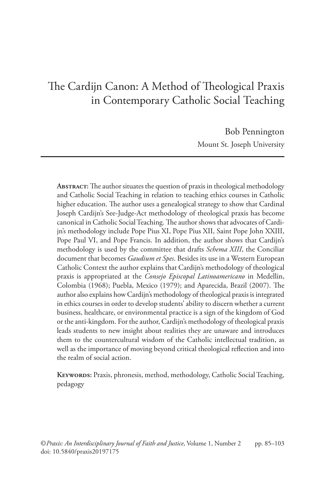# The Cardijn Canon: A Method of Theological Praxis in Contemporary Catholic Social Teaching

Bob Pennington Mount St. Joseph University

**Abstract:** The author situates the question of praxis in theological methodology and Catholic Social Teaching in relation to teaching ethics courses in Catholic higher education. The author uses a genealogical strategy to show that Cardinal Joseph Cardijn's See-Judge-Act methodology of theological praxis has become canonical in Catholic Social Teaching. The author shows that advocates of Cardijn's methodology include Pope Pius XI, Pope Pius XII, Saint Pope John XXIII, Pope Paul VI, and Pope Francis. In addition, the author shows that Cardijn's methodology is used by the committee that drafts *Schema XIII*, the Conciliar document that becomes *Gaudium et Spes*. Besides its use in a Western European Catholic Context the author explains that Cardijn's methodology of theological praxis is appropriated at the *Consejo Episcopal Latinoamericano* in Medellin, Colombia (1968); Puebla, Mexico (1979); and Aparecida, Brazil (2007). The author also explains how Cardijn's methodology of theological praxis is integrated in ethics courses in order to develop students' ability to discern whether a current business, healthcare, or environmental practice is a sign of the kingdom of God or the anti-kingdom. For the author, Cardijn's methodology of theological praxis leads students to new insight about realities they are unaware and introduces them to the countercultural wisdom of the Catholic intellectual tradition, as well as the importance of moving beyond critical theological reflection and into the realm of social action.

**Keywords:** Praxis, phronesis, method, methodology, Catholic Social Teaching, pedagogy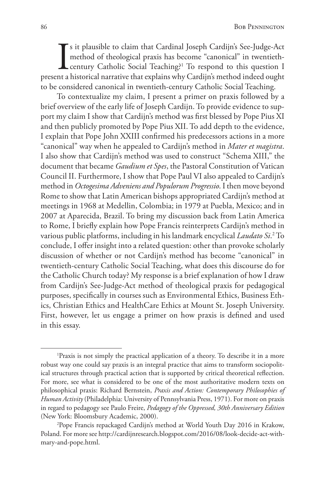$\prod_{n \text{t a}}$ s it plausible to claim that Cardinal Joseph Cardijn's See-Judge-Act method of theological praxis has become "canonical" in twentiethcentury Catholic Social Teaching?1 To respond to this question I present a historical narrative that explains why Cardijn's method indeed ought to be considered canonical in twentieth-century Catholic Social Teaching.

To contextualize my claim, I present a primer on praxis followed by a brief overview of the early life of Joseph Cardijn. To provide evidence to support my claim I show that Cardijn's method was first blessed by Pope Pius XI and then publicly promoted by Pope Pius XII. To add depth to the evidence, I explain that Pope John XXIII confirmed his predecessors actions in a more "canonical" way when he appealed to Cardijn's method in *Mater et magistra*. I also show that Cardijn's method was used to construct "Schema XIII," the document that became *Gaudium et Spes*, the Pastoral Constitution of Vatican Council II. Furthermore, I show that Pope Paul VI also appealed to Cardijn's method in *Octogesima Adveniens and Populorum Progressio*. I then move beyond Rome to show that Latin American bishops appropriated Cardijn's method at meetings in 1968 at Medellin, Colombia; in 1979 at Puebla, Mexico; and in 2007 at Aparecida, Brazil. To bring my discussion back from Latin America to Rome, I briefly explain how Pope Francis reinterprets Cardijn's method in various public platforms, including in his landmark encyclical *Laudato Si*.<sup>2</sup> To conclude, I offer insight into a related question: other than provoke scholarly discussion of whether or not Cardijn's method has become "canonical" in twentieth-century Catholic Social Teaching, what does this discourse do for the Catholic Church today? My response is a brief explanation of how I draw from Cardijn's See-Judge-Act method of theological praxis for pedagogical purposes, specifically in courses such as Environmental Ethics, Business Ethics, Christian Ethics and HealthCare Ethics at Mount St. Joseph University. First, however, let us engage a primer on how praxis is defined and used in this essay.

<sup>&</sup>lt;sup>1</sup>Praxis is not simply the practical application of a theory. To describe it in a more robust way one could say praxis is an integral practice that aims to transform sociopolitical structures through practical action that is supported by critical theoretical reflection. For more, see what is considered to be one of the most authoritative modern texts on philosophical praxis: Richard Bernstein, *Praxis and Action: Contemporary Philosophies of Human Activity* (Philadelphia: University of Pennsylvania Press, 1971). For more on praxis in regard to pedagogy see Paulo Freire, *Pedagogy of the Oppressed, 30th Anniversary Edition* (New York: Bloomsbury Academic, 2000).

<sup>2</sup> Pope Francis repackaged Cardijn's method at World Youth Day 2016 in Krakow, Poland. For more see http://cardijnresearch.blogspot.com/2016/08/look-decide-act-withmary-and-pope.html.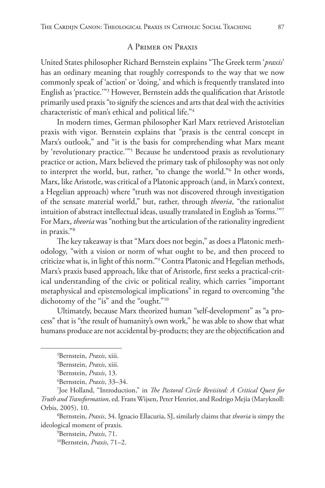# A Primer on Praxis

United States philosopher Richard Bernstein explains "The Greek term '*praxis*' has an ordinary meaning that roughly corresponds to the way that we now commonly speak of 'action' or 'doing,' and which is frequently translated into English as 'practice.'"3 However, Bernstein adds the qualification that Aristotle primarily used praxis "to signify the sciences and arts that deal with the activities characteristic of man's ethical and political life."4

In modern times, German philosopher Karl Marx retrieved Aristotelian praxis with vigor. Bernstein explains that "praxis is the central concept in Marx's outlook," and "it is the basis for comprehending what Marx meant by 'revolutionary practice.'"5 Because he understood praxis as revolutionary practice or action, Marx believed the primary task of philosophy was not only to interpret the world, but, rather, "to change the world."6 In other words, Marx, like Aristotle, was critical of a Platonic approach (and, in Marx's context, a Hegelian approach) where "truth was not discovered through investigation of the sensate material world," but, rather, through *theoria*, "the rationalist intuition of abstract intellectual ideas, usually translated in English as 'forms.'"7 For Marx, *theoria* was "nothing but the articulation of the rationality ingredient in praxis."8

The key takeaway is that "Marx does not begin," as does a Platonic methodology, "with a vision or norm of what ought to be, and then proceed to criticize what is, in light of this norm."9 Contra Platonic and Hegelian methods, Marx's praxis based approach, like that of Aristotle, first seeks a practical-critical understanding of the civic or political reality, which carries "important metaphysical and epistemological implications" in regard to overcoming "the dichotomy of the "is" and the "ought."10

Ultimately, because Marx theorized human "self-development" as "a process" that is "the result of humanity's own work," he was able to show that what humans produce are not accidental by-products; they are the objectification and

<sup>3</sup> Bernstein, *Praxis*, xiii.

<sup>4</sup> Bernstein, *Praxis*, xiii.

<sup>5</sup> Bernstein, *Praxis*, 13.

<sup>6</sup> Bernstein, *Praxis*, 33–34.

<sup>7</sup> Joe Holland, "Introduction," in *The Pastoral Circle Revisited: A Critical Quest for Truth and Transformation*, ed. Frans Wijsen, Peter Henriot, and Rodrigo Mejia (Maryknoll: Orbis, 2005), 10.

<sup>8</sup> Bernstein, *Praxis*, 34. Ignacio Ellacuria, SJ, similarly claims that *theoria* is simpy the ideological moment of praxis.

<sup>9</sup> Bernstein, *Praxis*, 71.

<sup>10</sup>Bernstein, *Praxis*, 71–2.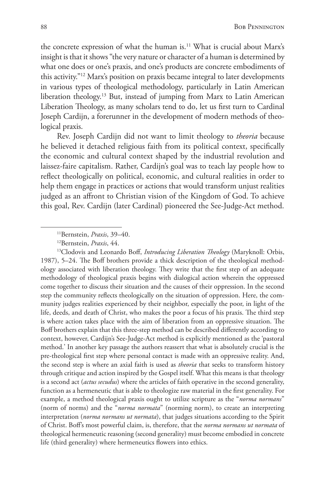the concrete expression of what the human is.<sup>11</sup> What is crucial about Marx's insight is that it shows "the very nature or character of a human is determined by what one does or one's praxis, and one's products are concrete embodiments of this activity."12 Marx's position on praxis became integral to later developments in various types of theological methodology, particularly in Latin American liberation theology.13 But, instead of jumping from Marx to Latin American Liberation Theology, as many scholars tend to do, let us first turn to Cardinal Joseph Cardijn, a forerunner in the development of modern methods of theological praxis.

Rev. Joseph Cardijn did not want to limit theology to *theoria* because he believed it detached religious faith from its political context, specifically the economic and cultural context shaped by the industrial revolution and laissez-faire capitalism. Rather, Cardijn's goal was to teach lay people how to reflect theologically on political, economic, and cultural realities in order to help them engage in practices or actions that would transform unjust realities judged as an affront to Christian vision of the Kingdom of God. To achieve this goal, Rev. Cardijn (later Cardinal) pioneered the See-Judge-Act method.

<sup>13</sup>Clodovis and Leonardo Boff, *Introducing Liberation Theology* (Maryknoll: Orbis, 1987), 5–24. The Boff brothers provide a thick description of the theological methodology associated with liberation theology. They write that the first step of an adequate methodology of theological praxis begins with dialogical action wherein the oppressed come together to discuss their situation and the causes of their oppression. In the second step the community reflects theologically on the situation of oppression. Here, the community judges realities experienced by their neighbor, especially the poor, in light of the life, deeds, and death of Christ, who makes the poor a focus of his praxis. The third step is where action takes place with the aim of liberation from an oppressive situation. The Boff brothers explain that this three-step method can be described differently according to context, however, Cardijn's See-Judge-Act method is explicitly mentioned as the 'pastoral method.' In another key passage the authors reassert that what is absolutely crucial is the pre-theological first step where personal contact is made with an oppressive reality. And, the second step is where an axial faith is used as *theoria* that seeks to transform history through critique and action inspired by the Gospel itself. What this means is that theology is a second act (*actus secudus*) where the articles of faith operative in the second generality, function as a hermeneutic that is able to theologize raw material in the first generality. For example, a method theological praxis ought to utilize scripture as the "*norma normans*" (norm of norms) and the "*norma normata*" (norming norm), to create an interpreting interpretation (*norma normans ut normata*), that judges situations according to the Spirit of Christ. Boff's most powerful claim, is, therefore, that the *norma normans ut normata* of theological hermeneutic reasoning (second generality) must become embodied in concrete life (third generality) where hermeneutics flowers into ethics.

<sup>11</sup>Bernstein, *Praxis*, 39–40.

<sup>12</sup>Bernstein, *Praxis*, 44.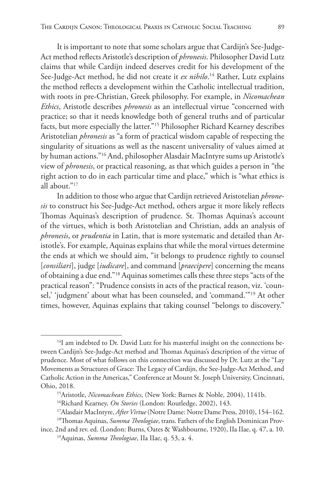It is important to note that some scholars argue that Cardijn's See-Judge-Act method reflects Aristotle's description of *phronesis*. Philosopher David Lutz claims that while Cardijn indeed deserves credit for his development of the See-Judge-Act method, he did not create it *ex nihilo*. 14 Rather, Lutz explains the method reflects a development within the Catholic intellectual tradition, with roots in pre-Christian, Greek philosophy. For example, in *Nicomachean Ethics*, Aristotle describes *phronesis* as an intellectual virtue "concerned with practice; so that it needs knowledge both of general truths and of particular facts, but more especially the latter."15 Philosopher Richard Kearney describes Aristotelian *phronesis* as "a form of practical wisdom capable of respecting the singularity of situations as well as the nascent universality of values aimed at by human actions."16 And, philosopher Alasdair MacIntyre sums up Aristotle's view of *phronesis*, or practical reasoning, as that which guides a person in "the right action to do in each particular time and place," which is "what ethics is all about."17

In addition to those who argue that Cardijn retrieved Aristotelian *phronesis* to construct his See-Judge-Act method, others argue it more likely reflects Thomas Aquinas's description of prudence. St. Thomas Aquinas's account of the virtues, which is both Aristotelian and Christian, adds an analysis of *phronesis*, or *prudentia* in Latin, that is more systematic and detailed than Aristotle's. For example, Aquinas explains that while the moral virtues determine the ends at which we should aim, "it belongs to prudence rightly to counsel [*consiliari*], judge [*iudicare*], and command [*praecipere*] concerning the means of obtaining a due end."18 Aquinas sometimes calls these three steps "acts of the practical reason": "Prudence consists in acts of the practical reason, viz. 'counsel,' 'judgment' about what has been counseled, and 'command.'"19 At other times, however, Aquinas explains that taking counsel "belongs to discovery."

 $14$ I am indebted to Dr. David Lutz for his masterful insight on the connections between Cardijn's See-Judge-Act method and Thomas Aquinas's description of the virtue of prudence. Most of what follows on this connection was discussed by Dr. Lutz at the "Lay Movements as Structures of Grace: The Legacy of Cardijn, the See-Judge-Act Method, and Catholic Action in the Americas," Conference at Mount St. Joseph University, Cincinnati, Ohio, 2018.

<sup>&</sup>lt;sup>15</sup>Aristotle, *Nicomachean Ethics*, (New York: Barnes & Noble, 2004), 1141b.

<sup>16</sup>Richard Kearney, *On Stories* (London: Routledge, 2002), 143.

<sup>17</sup>Alasdair MacIntyre, *After Virtue* (Notre Dame: Notre Dame Press, 2010), 154–162.

<sup>18</sup>Thomas Aquinas, *Summa Theologiae*, trans. Fathers of the English Dominican Province, 2nd and rev. ed. (London: Burns, Oates & Washbourne, 1920), IIa IIae, q. 47, a. 10.

<sup>19</sup>Aquinas, *Summa Theologiae*, IIa IIae, q. 53, a. 4.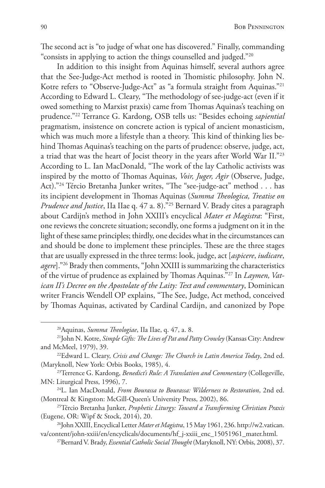The second act is "to judge of what one has discovered." Finally, commanding "consists in applying to action the things counselled and judged."20

In addition to this insight from Aquinas himself, several authors agree that the See-Judge-Act method is rooted in Thomistic philosophy. John N. Kotre refers to "Observe-Judge-Act" as "a formula straight from Aquinas."<sup>21</sup> According to Edward L. Cleary, "The methodology of see-judge-act (even if it owed something to Marxist praxis) came from Thomas Aquinas's teaching on prudence."22 Terrance G. Kardong, OSB tells us: "Besides echoing *sapiential* pragmatism, insistence on concrete action is typical of ancient monasticism, which was much more a lifestyle than a theory. This kind of thinking lies behind Thomas Aquinas's teaching on the parts of prudence: observe, judge, act, a triad that was the heart of Jocist theory in the years after World War II."23 According to L. Ian MacDonald, "The work of the lay Catholic activists was inspired by the motto of Thomas Aquinas, *Voir, Juger, Agir* (Observe, Judge, Act)."<sup>24</sup> Tércio Bretanha Junker writes, "The "see-judge-act" method . . . has its incipient development in Thomas Aquinas (*Summa Theologica, Treatise on Prudence and Justice*, IIa IIae q. 47 a. 8)."25 Bernard V. Brady cites a paragraph about Cardijn's method in John XXIII's encyclical *Mater et Magistra*: "First, one reviews the concrete situation; secondly, one forms a judgment on it in the light of these same principles; thirdly, one decides what in the circumstances can and should be done to implement these principles. These are the three stages that are usually expressed in the three terms: look, judge, act [*aspicere*, *iudicare*, *agere*]."26 Brady then comments, "John XXIII is summarizing the characteristics of the virtue of prudence as explained by Thomas Aquinas."27 In *Laymen, Vatican II's Decree on the Apostolate of the Laity: Text and commentary*, Dominican writer Francis Wendell OP explains, "The See, Judge, Act method, conceived by Thomas Aquinas, activated by Cardinal Cardijn, and canonized by Pope

<sup>20</sup>Aquinas, *Summa Theologiae*, IIa IIae, q. 47, a. 8.

<sup>21</sup>John N. Kotre, *Simple Gifts: The Lives of Pat and Patty Crowley* (Kansas City: Andrew and McMeel, 1979), 39.

<sup>22</sup>Edward L. Cleary, *Crisis and Change: The Church in Latin America Today*, 2nd ed. (Maryknoll, New York: Orbis Books, 1985), 4.

<sup>23</sup>Terrence G. Kardong, *Benedict's Rule: A Translation and Commentary* (Collegeville, MN: Liturgical Press, 1996), 7.

<sup>24</sup>L. Ian MacDonald, *From Bourassa to Bourassa: Wilderness to Restoration*, 2nd ed. (Montreal & Kingston: McGill-Queen's University Press, 2002), 86.

<sup>25</sup>Tércio Bretanha Junker, *Prophetic Liturgy: Toward a Transforming Christian Praxis*  (Eugene, OR: Wipf & Stock, 2014), 20.

<sup>26</sup>John XXIII, Encyclical Letter *Mater et Magistra*, 15 May 1961, 236. http://w2.vatican. va/content/john-xxiii/en/encyclicals/documents/hf\_j-xxiii\_enc\_15051961\_mater.html.

<sup>27</sup>Bernard V. Brady, *Essential Catholic Social Thought* (Maryknoll, NY: Orbis, 2008), 37.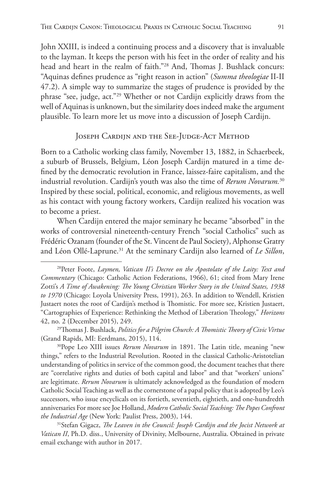John XXIII, is indeed a continuing process and a discovery that is invaluable to the layman. It keeps the person with his feet in the order of reality and his head and heart in the realm of faith."28 And, Thomas J. Bushlack concurs: "Aquinas defines prudence as "right reason in action" (*Summa theologiae* II-II 47.2). A simple way to summarize the stages of prudence is provided by the phrase "see, judge, act."29 Whether or not Cardijn explicitly draws from the well of Aquinas is unknown, but the similarity does indeed make the argument plausible. To learn more let us move into a discussion of Joseph Cardijn.

#### JOSEPH CARDIJN AND THE SEE-JUDGE-ACT METHOD

Born to a Catholic working class family, November 13, 1882, in Schaerbeek, a suburb of Brussels, Belgium, Léon Joseph Cardijn matured in a time defined by the democratic revolution in France, laissez-faire capitalism, and the industrial revolution. Cardijn's youth was also the time of *Rerum Novarum.*<sup>30</sup> Inspired by these social, political, economic, and religious movements, as well as his contact with young factory workers, Cardijn realized his vocation was to become a priest.

When Cardijn entered the major seminary he became "absorbed" in the works of controversial nineteenth-century French "social Catholics" such as Frédéric Ozanam (founder of the St. Vincent de Paul Society), Alphonse Gratry and Léon Ollé-Laprune.31 At the seminary Cardijn also learned of *Le Sillon*,

31Stefan Gigacz, *The Leaven in the Council: Joseph Cardijn and the Jocist Network at Vatican II*, Ph.D. diss., University of Divinity, Melbourne, Australia. Obtained in private email exchange with author in 2017.

<sup>28</sup>Peter Foote, *Laymen, Vatican II's Decree on the Apostolate of the Laity: Text and Commentary* (Chicago: Catholic Action Federations, 1966), 61; cited from Mary Irene Zotti's *A Time of Awakening: The Young Christian Worker Story in the United States, 1938 to 1970* (Chicago: Loyola University Press, 1991), 263. In addition to Wendell, Kristien Justaert notes the root of Cardijn's method is Thomistic. For more see, Kristien Justaert, "Cartographies of Experience: Rethinking the Method of Liberation Theology," *Horizons* 42, no. 2 (December 2015), 249.

<sup>29</sup>Thomas J. Bushlack, *Politics for a Pilgrim Church: A Thomistic Theory of Civic Virtue*  (Grand Rapids, MI: Eerdmans, 2015), 114.

<sup>30</sup>Pope Leo XIII issues *Rerum Novarum* in 1891. The Latin title, meaning "new things," refers to the Industrial Revolution. Rooted in the classical Catholic-Aristotelian understanding of politics in service of the common good, the document teaches that there are "correlative rights and duties of both capital and labor" and that "workers' unions" are legitimate. *Rerum Novarum* is ultimately acknowledged as the foundation of modern Catholic Social Teaching as well as the cornerstone of a papal policy that is adopted by Leo's successors, who issue encyclicals on its fortieth, seventieth, eightieth, and one-hundredth anniversaries For more see Joe Holland, *Modern Catholic Social Teaching: The Popes Confront the Industrial Age* (New York: Paulist Press, 2003), 144.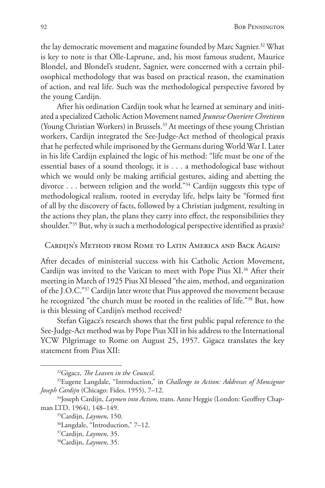the lay democratic movement and magazine founded by Marc Sagnier.<sup>32</sup> What is key to note is that Olle-Laprune, and, his most famous student, Maurice Blondel, and Blondel's student, Sagnier, were concerned with a certain philosophical methodology that was based on practical reason, the examination of action, and real life. Such was the methodological perspective favored by the young Cardijn.

After his ordination Cardijn took what he learned at seminary and initiated a specialized Catholic Action Movement named *Jeunesse Ouvriere Chretienn* (Young Christian Workers) in Brussels.33 At meetings of these young Christian workers, Cardijn integrated the See-Judge-Act method of theological praxis that he perfected while imprisoned by the Germans during World War I. Later in his life Cardijn explained the logic of his method: "life must be one of the essential bases of a sound theology, it is . . . a methodological base without which we would only be making artificial gestures, aiding and abetting the divorce . . . between religion and the world."34 Cardijn suggests this type of methodological realism, rooted in everyday life, helps laity be "formed first of all by the discovery of facts, followed by a Christian judgment, resulting in the actions they plan, the plans they carry into effect, the responsibilities they shoulder."35 But, why is such a methodological perspective identified as praxis?

## Cardiin's Method from Rome to Latin America and Back Again?

After decades of ministerial success with his Catholic Action Movement, Cardijn was invited to the Vatican to meet with Pope Pius XI.<sup>36</sup> After their meeting in March of 1925 Pius XI blessed "the aim, method, and organization of the J.O.C."37 Cardijn later wrote that Pius approved the movement because he recognized "the church must be rooted in the realities of life."38 But, how is this blessing of Cardijn's method received?

Stefan Gigacz's research shows that the first public papal reference to the See-Judge-Act method was by Pope Pius XII in his address to the International YCW Pilgrimage to Rome on August 25, 1957. Gigacz translates the key statement from Pius XII:

<sup>&</sup>lt;sup>32</sup>Gigacz, *The Leaven in the Council.*<br><sup>33</sup>Eugene Langdale, "Introduction," in *Challenge to Action: Addresses of Monsignor Joseph Cardijn* (Chicago: Fides, 1955), 7–12.

<sup>34</sup>Joseph Cardijn, *Laymen into Action*, trans. Anne Heggie (London: Geoffrey Chapman LTD, 1964), 148–149. 35Cardijn, *Laymen*, 150.

<sup>36</sup>Langdale, "Introduction," 7–12.

<sup>37</sup>Cardijn, *Laymen*, 35.

<sup>38</sup>Cardijn, *Laymen*, 35.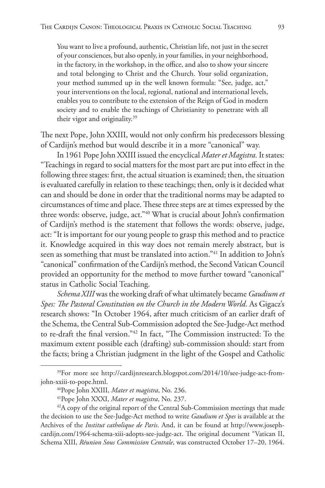You want to live a profound, authentic, Christian life, not just in the secret of your consciences, but also openly, in your families, in your neighborhood, in the factory, in the workshop, in the office, and also to show your sincere and total belonging to Christ and the Church. Your solid organization, your method summed up in the well known formula: "See, judge, act," your interventions on the local, regional, national and international levels, enables you to contribute to the extension of the Reign of God in modern society and to enable the teachings of Christianity to penetrate with all their vigor and originality.39

The next Pope, John XXIII, would not only confirm his predecessors blessing of Cardijn's method but would describe it in a more "canonical" way.

In 1961 Pope John XXIII issued the encyclical *Mater et Magistra.* It states: "Teachings in regard to social matters for the most part are put into effect in the following three stages: first, the actual situation is examined; then, the situation is evaluated carefully in relation to these teachings; then, only is it decided what can and should be done in order that the traditional norms may be adapted to circumstances of time and place. These three steps are at times expressed by the three words: observe, judge, act."40 What is crucial about John's confirmation of Cardijn's method is the statement that follows the words: observe, judge, act: "It is important for our young people to grasp this method and to practice it. Knowledge acquired in this way does not remain merely abstract, but is seen as something that must be translated into action."<sup>41</sup> In addition to John's "canonical" confirmation of the Cardijn's method, the Second Vatican Council provided an opportunity for the method to move further toward "canonical" status in Catholic Social Teaching.

*Schema XIII* was the working draft of what ultimately became *Gaudium et Spes: The Pastoral Constitution on the Church in the Modern World*. As Gigacz's research shows: "In October 1964, after much criticism of an earlier draft of the Schema, the Central Sub-Commission adopted the See-Judge-Act method to re-draft the final version."42 In fact, "The Commission instructed: To the maximum extent possible each (drafting) sub-commission should: start from the facts; bring a Christian judgment in the light of the Gospel and Catholic

<sup>39</sup>For more see http://cardijnresearch.blogspot.com/2014/10/see-judge-act-fromjohn-xxiii-to-pope.html.

<sup>40</sup>Pope John XXIII, *Mater et magistra*, No. 236. 41Pope John XXXI, *Mater et magistra*, No. 237.

 $42A$  copy of the original report of the Central Sub-Commission meetings that made the decision to use the See-Judge-Act method to write *Gaudium et Spes* is available at the Archives of the *Institut catholique de Paris*. And, it can be found at http://www.josephcardijn.com/1964-schema-xiii-adopts-see-judge-act. The original document "Vatican II, Schema XIII, *Réunion Sous Commission Centrale*, was constructed October 17–20, 1964.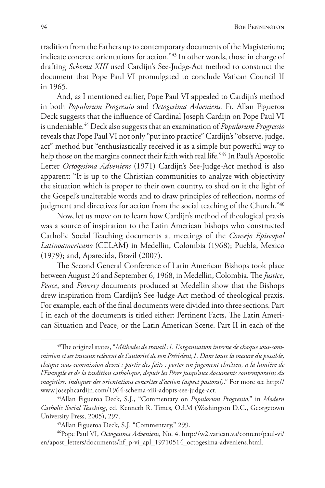tradition from the Fathers up to contemporary documents of the Magisterium; indicate concrete orientations for action."43 In other words, those in charge of drafting *Schema XIII* used Cardijn's See-Judge-Act method to construct the document that Pope Paul VI promulgated to conclude Vatican Council II in 1965.

And, as I mentioned earlier, Pope Paul VI appealed to Cardijn's method in both *Populorum Progressio* and *Octogesima Adveniens.* Fr. Allan Figueroa Deck suggests that the influence of Cardinal Joseph Cardijn on Pope Paul VI is undeniable.44 Deck also suggests that an examination of *Populorum Progressio* reveals that Pope Paul VI not only "put into practice" Cardijn's "observe, judge, act" method but "enthusiastically received it as a simple but powerful way to help those on the margins connect their faith with real life."45 In Paul's Apostolic Letter *Octogesima Adveniens* (1971) Cardijn's See-Judge-Act method is also apparent: "It is up to the Christian communities to analyze with objectivity the situation which is proper to their own country, to shed on it the light of the Gospel's unalterable words and to draw principles of reflection, norms of judgment and directives for action from the social teaching of the Church."<sup>46</sup>

Now, let us move on to learn how Cardijn's method of theological praxis was a source of inspiration to the Latin American bishops who constructed Catholic Social Teaching documents at meetings of the *Consejo Episcopal Latinoamericano* (CELAM) in Medellin, Colombia (1968); Puebla, Mexico (1979); and, Aparecida, Brazil (2007).

The Second General Conference of Latin American Bishops took place between August 24 and September 6, 1968, in Medellin, Colombia. The *Justice*, *Peace*, and *Poverty* documents produced at Medellin show that the Bishops drew inspiration from Cardijn's See-Judge-Act method of theological praxis. For example, each of the final documents were divided into three sections. Part I in each of the documents is titled either: Pertinent Facts, The Latin American Situation and Peace, or the Latin American Scene. Part II in each of the

<sup>43</sup>The original states, "*Méthodes de travail :1. L'organisation interne de chaque sous-commission et ses travaux relèvent de l'autorité de son Président,1. Dans toute la mesure du possible, chaque sous-commission devra : partir des faits ; porter un jugement chrétien, à la lumière de l'Evangile et de la tradition catholique, depuis les Pères jusqu'aux documents contemporains du magistère. indiquer des orientations concrètes d'action (aspect pastoral)*." For more see http:// www.josephcardijn.com/1964-schema-xiii-adopts-see-judge-act.

<sup>44</sup>Allan Figueroa Deck, S.J., "Commentary on *Populorum Progressio*," in *Modern Catholic Social Teaching*, ed. Kenneth R. Times, O.f.M (Washington D.C., Georgetown University Press, 2005), 297.

<sup>45</sup>Allan Figueroa Deck, S.J. "Commentary," 299.

<sup>46</sup>Pope Paul VI, *Octogesima Adveniens*, No. 4. http://w2.vatican.va/content/paul-vi/ en/apost\_letters/documents/hf\_p-vi\_apl\_19710514\_octogesima-adveniens.html.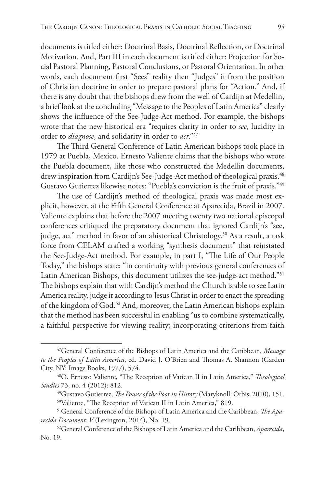documents is titled either: Doctrinal Basis, Doctrinal Reflection, or Doctrinal Motivation. And, Part III in each document is titled either: Projection for Social Pastoral Planning, Pastoral Conclusions, or Pastoral Orientation. In other words, each document first "Sees" reality then "Judges" it from the position of Christian doctrine in order to prepare pastoral plans for "Action." And, if there is any doubt that the bishops drew from the well of Cardijn at Medellin, a brief look at the concluding "Message to the Peoples of Latin America" clearly shows the influence of the See-Judge-Act method. For example, the bishops wrote that the new historical era "requires clarity in order to *see*, lucidity in order to *diagnose*, and solidarity in order to *act*."47

The Third General Conference of Latin American bishops took place in 1979 at Puebla, Mexico. Ernesto Valiente claims that the bishops who wrote the Puebla document, like those who constructed the Medellin documents, drew inspiration from Cardijn's See-Judge-Act method of theological praxis.<sup>48</sup> Gustavo Gutierrez likewise notes: "Puebla's conviction is the fruit of praxis."49

The use of Cardijn's method of theological praxis was made most explicit, however, at the Fifth General Conference at Aparecida, Brazil in 2007. Valiente explains that before the 2007 meeting twenty two national episcopal conferences critiqued the preparatory document that ignored Cardijn's "see, judge, act" method in favor of an ahistorical Christology.<sup>50</sup> As a result, a task force from CELAM crafted a working "synthesis document" that reinstated the See-Judge-Act method. For example, in part I, "The Life of Our People Today," the bishops state: "in continuity with previous general conferences of Latin American Bishops, this document utilizes the see-judge-act method."51 The bishops explain that with Cardijn's method the Church is able to see Latin America reality, judge it according to Jesus Christ in order to enact the spreading of the kingdom of God.<sup>52</sup> And, moreover, the Latin American bishops explain that the method has been successful in enabling "us to combine systematically, a faithful perspective for viewing reality; incorporating criterions from faith

<sup>47</sup>General Conference of the Bishops of Latin America and the Caribbean, *Message to the Peoples of Latin America*, ed. David J. O'Brien and Thomas A. Shannon (Garden City, NY: Image Books, 1977), 574.

<sup>48</sup>O. Ernesto Valiente, "The Reception of Vatican II in Latin America," *Theological Studies* 73, no. 4 (2012): 812.

<sup>49</sup>Gustavo Gutierrez, *The Power of the Poor in History* (Maryknoll: Orbis, 2010), 151. 50Valiente, "The Reception of Vatican II in Latin America," 819.

<sup>51</sup>General Conference of the Bishops of Latin America and the Caribbean, *The Aparecida Document: V* (Lexington, 2014), No. 19.

<sup>52</sup>General Conference of the Bishops of Latin America and the Caribbean, *Aparecida*, No. 19.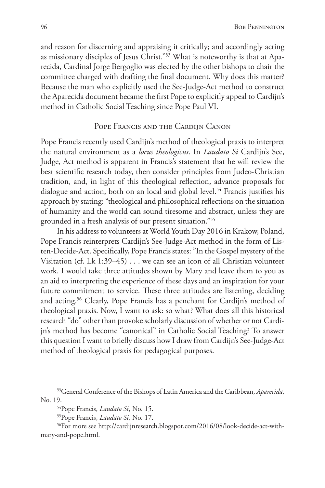and reason for discerning and appraising it critically; and accordingly acting as missionary disciples of Jesus Christ."53 What is noteworthy is that at Aparecida, Cardinal Jorge Bergoglio was elected by the other bishops to chair the committee charged with drafting the final document. Why does this matter? Because the man who explicitly used the See-Judge-Act method to construct the Aparecida document became the first Pope to explicitly appeal to Cardijn's method in Catholic Social Teaching since Pope Paul VI.

### POPE FRANCIS AND THE CARDIJN CANON

Pope Francis recently used Cardijn's method of theological praxis to interpret the natural environment as a *locus theologicus*. In *Laudato Si* Cardijn's See, Judge, Act method is apparent in Francis's statement that he will review the best scientific research today, then consider principles from Judeo-Christian tradition, and, in light of this theological reflection, advance proposals for dialogue and action, both on an local and global level.<sup>54</sup> Francis justifies his approach by stating: "theological and philosophical reflections on the situation of humanity and the world can sound tiresome and abstract, unless they are grounded in a fresh analysis of our present situation."55

In his address to volunteers at World Youth Day 2016 in Krakow, Poland, Pope Francis reinterprets Cardijn's See-Judge-Act method in the form of Listen-Decide-Act. Specifically, Pope Francis states: "In the Gospel mystery of the Visitation (cf. Lk 1:39–45) . . . we can see an icon of all Christian volunteer work. I would take three attitudes shown by Mary and leave them to you as an aid to interpreting the experience of these days and an inspiration for your future commitment to service. These three attitudes are listening, deciding and acting.56 Clearly, Pope Francis has a penchant for Cardijn's method of theological praxis. Now, I want to ask: so what? What does all this historical research "do" other than provoke scholarly discussion of whether or not Cardijn's method has become "canonical" in Catholic Social Teaching? To answer this question I want to briefly discuss how I draw from Cardijn's See-Judge-Act method of theological praxis for pedagogical purposes.

<sup>53</sup>General Conference of the Bishops of Latin America and the Caribbean, *Aparecida*, No. 19. 54Pope Francis, *Laudato Si*, No. 15.

<sup>55</sup>Pope Francis, *Laudato Si*, No. 17.

<sup>56</sup>For more see http://cardijnresearch.blogspot.com/2016/08/look-decide-act-withmary-and-pope.html.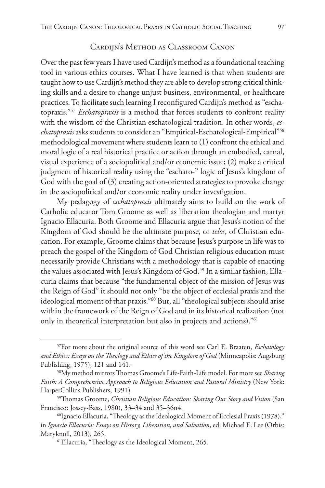# Cardijn's Method as Classroom Canon

Over the past few years I have used Cardijn's method as a foundational teaching tool in various ethics courses. What I have learned is that when students are taught how to use Cardijn's method they are able to develop strong critical thinking skills and a desire to change unjust business, environmental, or healthcare practices. To facilitate such learning I reconfigured Cardijn's method as "eschatopraxis."57 *Eschatopraxis* is a method that forces students to confront reality with the wisdom of the Christian eschatological tradition. In other words, *eschatopraxis* asks students to consider an "Empirical-Eschatological-Empirical"58 methodological movement where students learn to (1) confront the ethical and moral logic of a real historical practice or action through an embodied, carnal, visual experience of a sociopolitical and/or economic issue; (2) make a critical judgment of historical reality using the "eschato-" logic of Jesus's kingdom of God with the goal of (3) creating action-oriented strategies to provoke change in the sociopolitical and/or economic reality under investigation.

My pedagogy of *eschatopraxis* ultimately aims to build on the work of Catholic educator Tom Groome as well as liberation theologian and martyr Ignacio Ellacuria. Both Groome and Ellacuria argue that Jesus's notion of the Kingdom of God should be the ultimate purpose, or *telos*, of Christian education. For example, Groome claims that because Jesus's purpose in life was to preach the gospel of the Kingdom of God Christian religious education must necessarily provide Christians with a methodology that is capable of enacting the values associated with Jesus's Kingdom of God.<sup>59</sup> In a similar fashion, Ellacuria claims that because "the fundamental object of the mission of Jesus was the Reign of God" it should not only "be the object of ecclesial praxis and the ideological moment of that praxis."60 But, all "theological subjects should arise within the framework of the Reign of God and in its historical realization (not only in theoretical interpretation but also in projects and actions)."61

<sup>57</sup>For more about the original source of this word see Carl E. Braaten, *Eschatology and Ethics: Essays on the Theology and Ethics of the Kingdom of God* (Minneapolis: Augsburg Publishing, 1975), 121 and 141.

<sup>58</sup>My method mirrors Thomas Groome's Life-Faith-Life model. For more see *Sharing*  Faith: A Comprehensive Approach to Religious Education and Pastoral Ministry (New York: HarperCollins Publishers, 1991).

<sup>59</sup>Thomas Groome, *Christian Religious Education: Sharing Our Story and Vision* (San Francisco: Jossey-Bass, 1980), 33–34 and 35–36n4.

<sup>60</sup>Ignacio Ellacuria, "Theology as the Ideological Moment of Ecclesial Praxis (1978)," in *Ignacio Ellacuría: Essays on History, Liberation, and Salvation*, ed. Michael E. Lee (Orbis: Maryknoll, 2013), 265.

<sup>61</sup>Ellacuria, "Theology as the Ideological Moment, 265.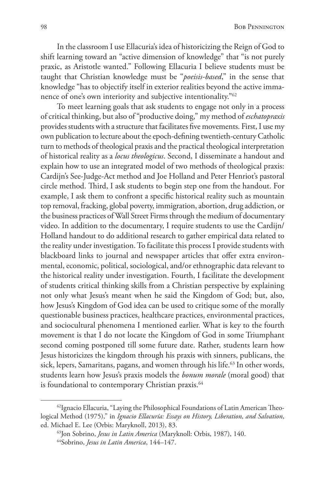In the classroom I use Ellacuria's idea of historicizing the Reign of God to shift learning toward an "active dimension of knowledge" that "is not purely praxic, as Aristotle wanted." Following Ellacuria I believe students must be taught that Christian knowledge must be "*poeisis-based*," in the sense that knowledge "has to objectify itself in exterior realities beyond the active immanence of one's own interiority and subjective intentionality."62

To meet learning goals that ask students to engage not only in a process of critical thinking, but also of "productive doing," my method of *eschatopraxis* provides students with a structure that facilitates five movements. First, I use my own publication to lecture about the epoch-defining twentieth-century Catholic turn to methods of theological praxis and the practical theological interpretation of historical reality as a *locus theologicus*. Second, I disseminate a handout and explain how to use an integrated model of two methods of theological praxis: Cardijn's See-Judge-Act method and Joe Holland and Peter Henriot's pastoral circle method. Third, I ask students to begin step one from the handout. For example, I ask them to confront a specific historical reality such as mountain top removal, fracking, global poverty, immigration, abortion, drug addiction, or the business practices of Wall Street Firms through the medium of documentary video. In addition to the documentary, I require students to use the Cardijn/ Holland handout to do additional research to gather empirical data related to the reality under investigation. To facilitate this process I provide students with blackboard links to journal and newspaper articles that offer extra environmental, economic, political, sociological, and/or ethnographic data relevant to the historical reality under investigation. Fourth, I facilitate the development of students critical thinking skills from a Christian perspective by explaining not only what Jesus's meant when he said the Kingdom of God; but, also, how Jesus's Kingdom of God idea can be used to critique some of the morally questionable business practices, healthcare practices, environmental practices, and sociocultural phenomena I mentioned earlier. What is key to the fourth movement is that I do not locate the Kingdom of God in some Triumphant second coming postponed till some future date. Rather, students learn how Jesus historicizes the kingdom through his praxis with sinners, publicans, the sick, lepers, Samaritans, pagans, and women through his life.<sup>63</sup> In other words, students learn how Jesus's praxis models the *bonum morale* (moral good) that is foundational to contemporary Christian praxis.<sup>64</sup>

<sup>&</sup>lt;sup>62</sup>Ignacio Ellacuria, "Laying the Philosophical Foundations of Latin American Theological Method (1975)," in *Ignacio Ellacuría: Essays on History, Liberation, and Salvation*, ed. Michael E. Lee (Orbis: Maryknoll, 2013), 83.

<sup>63</sup>Jon Sobrino, *Jesus in Latin America* (Maryknoll: Orbis, 1987), 140.

<sup>64</sup>Sobrino, *Jesus in Latin America*, 144–147.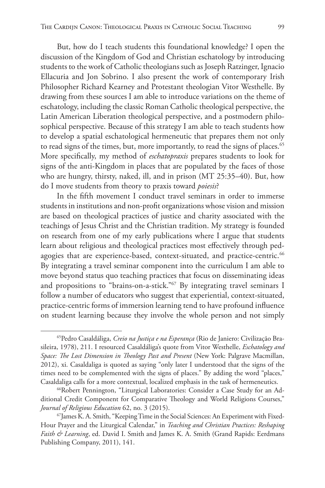But, how do I teach students this foundational knowledge? I open the discussion of the Kingdom of God and Christian eschatology by introducing students to the work of Catholic theologians such as Joseph Ratzinger, Ignacio Ellacuria and Jon Sobrino. I also present the work of contemporary Irish Philosopher Richard Kearney and Protestant theologian Vitor Westhelle. By drawing from these sources I am able to introduce variations on the theme of eschatology, including the classic Roman Catholic theological perspective, the Latin American Liberation theological perspective, and a postmodern philosophical perspective. Because of this strategy I am able to teach students how to develop a spatial eschatological hermeneutic that prepares them not only to read signs of the times, but, more importantly, to read the signs of places.<sup>65</sup> More specifically, my method of *eschatopraxis* prepares students to look for signs of the anti-Kingdom in places that are populated by the faces of those who are hungry, thirsty, naked, ill, and in prison (MT 25:35–40). But, how do I move students from theory to praxis toward *poiesis*?

In the fifth movement I conduct travel seminars in order to immerse students in institutions and non-profit organizations whose vision and mission are based on theological practices of justice and charity associated with the teachings of Jesus Christ and the Christian tradition. My strategy is founded on research from one of my early publications where I argue that students learn about religious and theological practices most effectively through pedagogies that are experience-based, context-situated, and practice-centric.<sup>66</sup> By integrating a travel seminar component into the curriculum I am able to move beyond status quo teaching practices that focus on disseminating ideas and propositions to "brains-on-a-stick."67 By integrating travel seminars I follow a number of educators who suggest that experiential, context-situated, practice-centric forms of immersion learning tend to have profound influence on student learning because they involve the whole person and not simply

<sup>65</sup>Pedro Casaldáliga, *Creio na Justiça e na Esperança* (Rio de Janiero: Civilização Brasileira, 1978), 211. I resourced Casaldáliga's quote from Vitor Westhelle, *Eschatology and Space: The Lost Dimension in Theology Past and Present* (New York: Palgrave Macmillan, 2012), xi. Casaldaliga is quoted as saying "only later I understood that the signs of the times need to be complemented with the signs of places." By adding the word "places," Casaldaliga calls for a more contextual, localized emphasis in the task of hermeneutics. 66Robert Pennington, "Liturgical Laboratories: Consider a Case Study for an Ad-

ditional Credit Component for Comparative Theology and World Religions Courses," *Journal of Religious Education* 62, no. 3 (2015).

<sup>67</sup>James K. A. Smith, "Keeping Time in the Social Sciences: An Experiment with Fixed-Hour Prayer and the Liturgical Calendar," in *Teaching and Christian Practices: Reshaping Faith & Learning*, ed. David I. Smith and James K. A. Smith (Grand Rapids: Eerdmans Publishing Company, 2011), 141.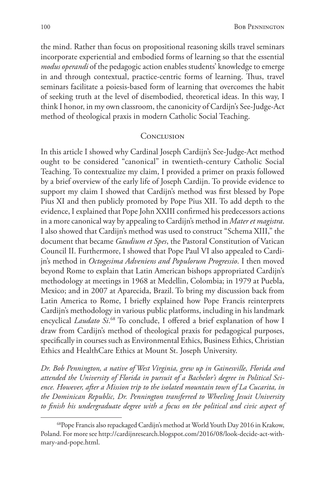the mind. Rather than focus on propositional reasoning skills travel seminars incorporate experiential and embodied forms of learning so that the essential *modus operandi* of the pedagogic action enables students' knowledge to emerge in and through contextual, practice-centric forms of learning. Thus, travel seminars facilitate a poiesis-based form of learning that overcomes the habit of seeking truth at the level of disembodied, theoretical ideas. In this way, I think I honor, in my own classroom, the canonicity of Cardijn's See-Judge-Act method of theological praxis in modern Catholic Social Teaching.

### **CONCLUSION**

In this article I showed why Cardinal Joseph Cardijn's See-Judge-Act method ought to be considered "canonical" in twentieth-century Catholic Social Teaching. To contextualize my claim, I provided a primer on praxis followed by a brief overview of the early life of Joseph Cardijn. To provide evidence to support my claim I showed that Cardijn's method was first blessed by Pope Pius XI and then publicly promoted by Pope Pius XII. To add depth to the evidence, I explained that Pope John XXIII confirmed his predecessors actions in a more canonical way by appealing to Cardijn's method in *Mater et magistra*. I also showed that Cardijn's method was used to construct "Schema XIII," the document that became *Gaudium et Spes*, the Pastoral Constitution of Vatican Council II. Furthermore, I showed that Pope Paul VI also appealed to Cardijn's method in *Octogesima Adveniens and Populorum Progressio*. I then moved beyond Rome to explain that Latin American bishops appropriated Cardijn's methodology at meetings in 1968 at Medellin, Colombia; in 1979 at Puebla, Mexico; and in 2007 at Aparecida, Brazil. To bring my discussion back from Latin America to Rome, I briefly explained how Pope Francis reinterprets Cardijn's methodology in various public platforms, including in his landmark encyclical *Laudato Si*. 68 To conclude, I offered a brief explanation of how I draw from Cardijn's method of theological praxis for pedagogical purposes, specifically in courses such as Environmental Ethics, Business Ethics, Christian Ethics and HealthCare Ethics at Mount St. Joseph University.

*Dr. Bob Pennington, a native of West Virginia, grew up in Gainesville, Florida and attended the University of Florida in pursuit of a Bachelor's degree in Political Science. However, after a Mission trip to the isolated mountain town of La Cucarita, in the Dominican Republic, Dr. Pennington transferred to Wheeling Jesuit University to finish his undergraduate degree with a focus on the political and civic aspect of* 

<sup>68</sup>Pope Francis also repackaged Cardijn's method at World Youth Day 2016 in Krakow, Poland. For more see http://cardijnresearch.blogspot.com/2016/08/look-decide-act-withmary-and-pope.html.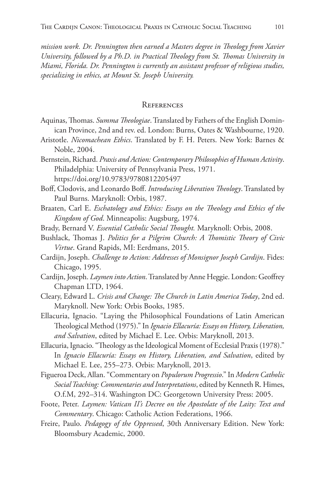*mission work. Dr. Pennington then earned a Masters degree in Theology from Xavier University, followed by a Ph.D. in Practical Theology from St. Thomas University in Miami, Florida. Dr. Pennington is currently an assistant professor of religious studies, specializing in ethics, at Mount St. Joseph University.*

#### **REFERENCES**

- Aquinas, Thomas. *Summa Theologiae*. Translated by Fathers of the English Dominican Province, 2nd and rev. ed. London: Burns, Oates & Washbourne, 1920.
- Aristotle. *Nicomachean Ethics*. Translated by F. H. Peters. New York: Barnes & Noble, 2004.
- Bernstein, Richard. *Praxis and Action: Contemporary Philosophies of Human Activity*. Philadelphia: University of Pennsylvania Press, 1971. https://doi.org/10.9783/9780812205497
- Boff, Clodovis, and Leonardo Boff. *Introducing Liberation Theology*. Translated by Paul Burns. Maryknoll: Orbis, 1987.
- Braaten, Carl E. *Eschatology and Ethics: Essays on the Theology and Ethics of the Kingdom of God*. Minneapolis: Augsburg, 1974.
- Brady, Bernard V. *Essential Catholic Social Thought.* Maryknoll: Orbis, 2008.
- Bushlack, Thomas J. *Politics for a Pilgrim Church: A Thomistic Theory of Civic Virtue*. Grand Rapids, MI: Eerdmans, 2015.
- Cardijn, Joseph. *Challenge to Action: Addresses of Monsignor Joseph Cardijn*. Fides: Chicago, 1995.
- Cardijn, Joseph. *Laymen into Action*. Translated by Anne Heggie. London: Geoffrey Chapman LTD, 1964.
- Cleary, Edward L. *Crisis and Change: The Church in Latin America Today*, 2nd ed. Maryknoll. New York: Orbis Books, 1985.
- Ellacuria, Ignacio. "Laying the Philosophical Foundations of Latin American Theological Method (1975)." In *Ignacio Ellacuría: Essays on History, Liberation, and Salvation*, edited by Michael E. Lee. Orbis: Maryknoll, 2013.
- Ellacuria, Ignacio. "Theology as the Ideological Moment of Ecclesial Praxis (1978)." In *Ignacio Ellacuría: Essays on History, Liberation, and Salvation*, edited by Michael E. Lee, 255–273. Orbis: Maryknoll, 2013.
- Figueroa Deck, Allan. "Commentary on *Populorum Progressio*." In *Modern Catholic Social Teaching: Commentaries and Interpretations*, edited by Kenneth R. Himes, O.f.M, 292–314. Washington DC: Georgetown University Press: 2005.
- Foote, Peter. *Laymen: Vatican II's Decree on the Apostolate of the Laity: Text and Commentary*. Chicago: Catholic Action Federations, 1966.
- Freire, Paulo. *Pedagogy of the Oppressed*, 30th Anniversary Edition. New York: Bloomsbury Academic, 2000.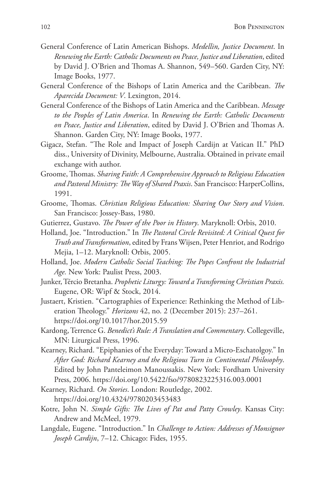- General Conference of Latin American Bishops. *Medellin, Justice Document*. In *Renewing the Earth: Catholic Documents on Peace, Justice and Liberation*, edited by David J. O'Brien and Thomas A. Shannon, 549–560. Garden City, NY: Image Books, 1977.
- General Conference of the Bishops of Latin America and the Caribbean. *The Aparecida Document: V*. Lexington, 2014.
- General Conference of the Bishops of Latin America and the Caribbean. *Message to the Peoples of Latin America*. In *Renewing the Earth: Catholic Documents on Peace, Justice and Liberation*, edited by David J. O'Brien and Thomas A. Shannon. Garden City, NY: Image Books, 1977.
- Gigacz, Stefan. "The Role and Impact of Joseph Cardijn at Vatican II." PhD diss., University of Divinity, Melbourne, Australia. Obtained in private email exchange with author.
- Groome, Thomas. *Sharing Faith: A Comprehensive Approach to Religious Education and Pastoral Ministry: The Way of Shared Praxis*. San Francisco: HarperCollins, 1991.
- Groome, Thomas. *Christian Religious Education: Sharing Our Story and Vision*. San Francisco: Jossey-Bass, 1980.
- Gutierrez, Gustavo. *The Power of the Poor in History*. Maryknoll: Orbis, 2010.
- Holland, Joe. "Introduction." In *The Pastoral Circle Revisited: A Critical Quest for Truth and Transformation*, edited by Frans Wijsen, Peter Henriot, and Rodrigo Mejia, 1–12. Maryknoll: Orbis, 2005.
- Holland, Joe. *Modern Catholic Social Teaching: The Popes Confront the Industrial Age.* New York: Paulist Press, 2003.
- Junker, Tércio Bretanha. *Prophetic Liturgy: Toward a Transforming Christian Praxis.* Eugene, OR: Wipf & Stock, 2014.
- Justaert, Kristien. "Cartographies of Experience: Rethinking the Method of Liberation Theology." *Horizons* 42, no. 2 (December 2015): 237–261. https://doi.org/10.1017/hor.2015.59
- Kardong, Terrence G. *Benedict's Rule: A Translation and Commentary*. Collegeville, MN: Liturgical Press, 1996.
- Kearney, Richard. "Epiphanies of the Everyday: Toward a Micro-Eschatolgoy." In *After God: Richard Kearney and the Religious Turn in Continental Philosophy*. Edited by John Panteleimon Manoussakis. New York: Fordham University Press, 2006. https://doi.org/10.5422/fso/9780823225316.003.0001
- Kearney, Richard. *On Stories*. London: Routledge, 2002. https://doi.org/10.4324/9780203453483
- Kotre, John N. *Simple Gifts: The Lives of Pat and Patty Crowley*. Kansas City: Andrew and McMeel, 1979.
- Langdale, Eugene. "Introduction." In *Challenge to Action: Addresses of Monsignor Joseph Cardijn*, 7–12. Chicago: Fides, 1955.